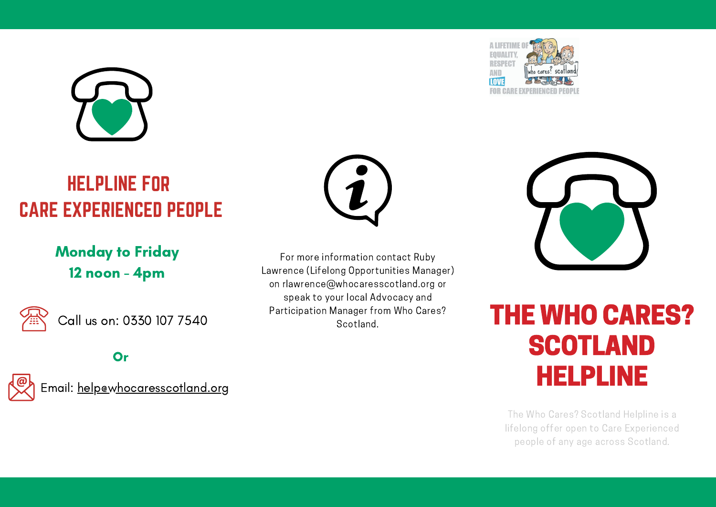

## HELPLINE FOR CARE EXPERIENCED PEOPLE

Monday to Friday 12 noon - 4pm



Call us on: 0330 107 7540

**Or** 



Email: help@whocaresscotland.org



For more information contact Ruby Lawrence (Lifelong Opportunities Manager) on rlawrence@whocaresscotland.org or speak to your local Advocacy and Participation Manager from Who Cares?





## Manager from Who Cares?<br>Scotland **SCOTLAND** HELPLINE

The Who Cares? Scotland Helpline is a lifelong offer open to Care Experienced people of any age across Scotland.